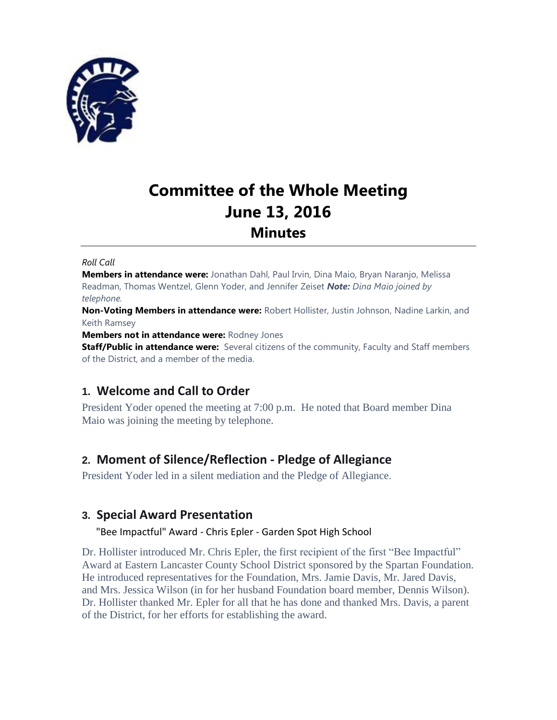

# **Committee of the Whole Meeting June 13, 2016 Minutes**

#### *Roll Call*

**Members in attendance were:** Jonathan Dahl, Paul Irvin, Dina Maio, Bryan Naranjo, Melissa Readman, Thomas Wentzel, Glenn Yoder, and Jennifer Zeiset *Note: Dina Maio joined by telephone.*

**Non-Voting Members in attendance were:** Robert Hollister, Justin Johnson, Nadine Larkin, and Keith Ramsey

**Members not in attendance were:** Rodney Jones

**Staff/Public in attendance were:** Several citizens of the community, Faculty and Staff members of the District, and a member of the media.

# **1. Welcome and Call to Order**

President Yoder opened the meeting at 7:00 p.m. He noted that Board member Dina Maio was joining the meeting by telephone.

# **2. Moment of Silence/Reflection - Pledge of Allegiance**

President Yoder led in a silent mediation and the Pledge of Allegiance.

# **3. Special Award Presentation**

## "Bee Impactful" Award - Chris Epler - Garden Spot High School

Dr. Hollister introduced Mr. Chris Epler, the first recipient of the first "Bee Impactful" Award at Eastern Lancaster County School District sponsored by the Spartan Foundation. He introduced representatives for the Foundation, Mrs. Jamie Davis, Mr. Jared Davis, and Mrs. Jessica Wilson (in for her husband Foundation board member, Dennis Wilson). Dr. Hollister thanked Mr. Epler for all that he has done and thanked Mrs. Davis, a parent of the District, for her efforts for establishing the award.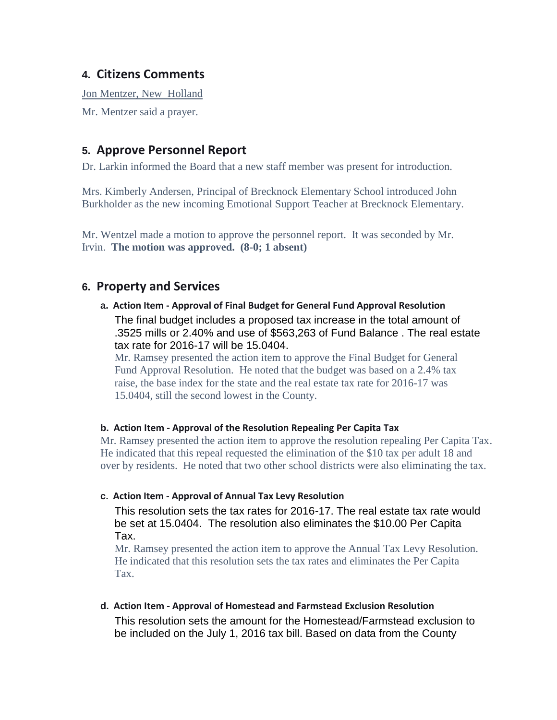# **4. Citizens Comments**

Jon Mentzer, New Holland

Mr. Mentzer said a prayer.

# **5. Approve Personnel Report**

Dr. Larkin informed the Board that a new staff member was present for introduction.

Mrs. Kimberly Andersen, Principal of Brecknock Elementary School introduced John Burkholder as the new incoming Emotional Support Teacher at Brecknock Elementary.

Mr. Wentzel made a motion to approve the personnel report. It was seconded by Mr. Irvin. **The motion was approved. (8-0; 1 absent)**

# **6. Property and Services**

**a. Action Item - Approval of Final Budget for General Fund Approval Resolution** The final budget includes a proposed tax increase in the total amount of .3525 mills or 2.40% and use of \$563,263 of Fund Balance . The real estate tax rate for 2016-17 will be 15.0404.

Mr. Ramsey presented the action item to approve the Final Budget for General Fund Approval Resolution. He noted that the budget was based on a 2.4% tax raise, the base index for the state and the real estate tax rate for 2016-17 was 15.0404, still the second lowest in the County.

#### **b. Action Item - Approval of the Resolution Repealing Per Capita Tax**

Mr. Ramsey presented the action item to approve the resolution repealing Per Capita Tax. He indicated that this repeal requested the elimination of the \$10 tax per adult 18 and over by residents. He noted that two other school districts were also eliminating the tax.

#### **c. Action Item - Approval of Annual Tax Levy Resolution**

This resolution sets the tax rates for 2016-17. The real estate tax rate would be set at 15.0404. The resolution also eliminates the \$10.00 Per Capita Tax.

Mr. Ramsey presented the action item to approve the Annual Tax Levy Resolution. He indicated that this resolution sets the tax rates and eliminates the Per Capita Tax.

**d. Action Item - Approval of Homestead and Farmstead Exclusion Resolution** This resolution sets the amount for the Homestead/Farmstead exclusion to be included on the July 1, 2016 tax bill. Based on data from the County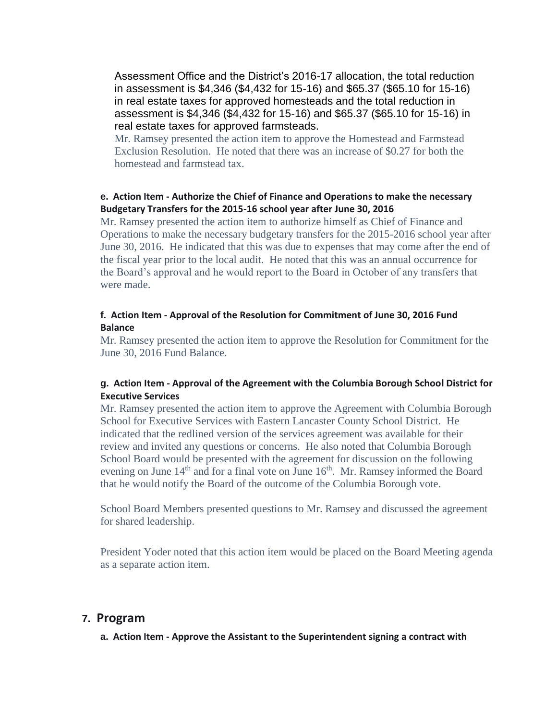Assessment Office and the District's 2016-17 allocation, the total reduction in assessment is \$4,346 (\$4,432 for 15-16) and \$65.37 (\$65.10 for 15-16) in real estate taxes for approved homesteads and the total reduction in assessment is \$4,346 (\$4,432 for 15-16) and \$65.37 (\$65.10 for 15-16) in real estate taxes for approved farmsteads.

Mr. Ramsey presented the action item to approve the Homestead and Farmstead Exclusion Resolution. He noted that there was an increase of \$0.27 for both the homestead and farmstead tax.

#### **e. Action Item - Authorize the Chief of Finance and Operations to make the necessary Budgetary Transfers for the 2015-16 school year after June 30, 2016**

Mr. Ramsey presented the action item to authorize himself as Chief of Finance and Operations to make the necessary budgetary transfers for the 2015-2016 school year after June 30, 2016. He indicated that this was due to expenses that may come after the end of the fiscal year prior to the local audit. He noted that this was an annual occurrence for the Board's approval and he would report to the Board in October of any transfers that were made.

#### **f. Action Item - Approval of the Resolution for Commitment of June 30, 2016 Fund Balance**

Mr. Ramsey presented the action item to approve the Resolution for Commitment for the June 30, 2016 Fund Balance.

## **g. Action Item - Approval of the Agreement with the Columbia Borough School District for Executive Services**

Mr. Ramsey presented the action item to approve the Agreement with Columbia Borough School for Executive Services with Eastern Lancaster County School District. He indicated that the redlined version of the services agreement was available for their review and invited any questions or concerns. He also noted that Columbia Borough School Board would be presented with the agreement for discussion on the following evening on June 14<sup>th</sup> and for a final vote on June 16<sup>th</sup>. Mr. Ramsey informed the Board that he would notify the Board of the outcome of the Columbia Borough vote.

School Board Members presented questions to Mr. Ramsey and discussed the agreement for shared leadership.

President Yoder noted that this action item would be placed on the Board Meeting agenda as a separate action item.

## **7. Program**

**a. Action Item - Approve the Assistant to the Superintendent signing a contract with**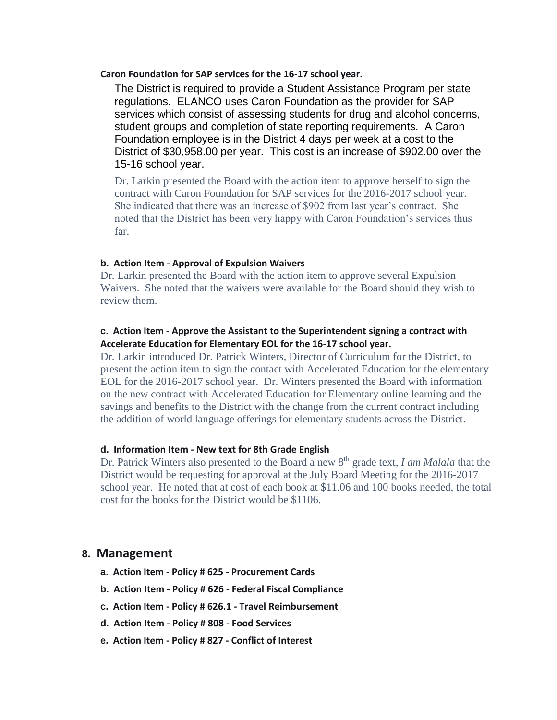**Caron Foundation for SAP services for the 16-17 school year.**

The District is required to provide a Student Assistance Program per state regulations. ELANCO uses Caron Foundation as the provider for SAP services which consist of assessing students for drug and alcohol concerns, student groups and completion of state reporting requirements. A Caron Foundation employee is in the District 4 days per week at a cost to the District of \$30,958.00 per year. This cost is an increase of \$902.00 over the 15-16 school year.

Dr. Larkin presented the Board with the action item to approve herself to sign the contract with Caron Foundation for SAP services for the 2016-2017 school year. She indicated that there was an increase of \$902 from last year's contract. She noted that the District has been very happy with Caron Foundation's services thus far.

#### **b. Action Item - Approval of Expulsion Waivers**

Dr. Larkin presented the Board with the action item to approve several Expulsion Waivers. She noted that the waivers were available for the Board should they wish to review them.

#### **c. Action Item - Approve the Assistant to the Superintendent signing a contract with Accelerate Education for Elementary EOL for the 16-17 school year.**

Dr. Larkin introduced Dr. Patrick Winters, Director of Curriculum for the District, to present the action item to sign the contact with Accelerated Education for the elementary EOL for the 2016-2017 school year. Dr. Winters presented the Board with information on the new contract with Accelerated Education for Elementary online learning and the savings and benefits to the District with the change from the current contract including the addition of world language offerings for elementary students across the District.

#### **d. Information Item - New text for 8th Grade English**

Dr. Patrick Winters also presented to the Board a new 8<sup>th</sup> grade text, *I am Malala* that the District would be requesting for approval at the July Board Meeting for the 2016-2017 school year. He noted that at cost of each book at \$11.06 and 100 books needed, the total cost for the books for the District would be \$1106.

#### **8. Management**

- **a. Action Item - Policy # 625 - Procurement Cards**
- **b. Action Item - Policy # 626 - Federal Fiscal Compliance**
- **c. Action Item - Policy # 626.1 - Travel Reimbursement**
- **d. Action Item - Policy # 808 - Food Services**
- **e. Action Item - Policy # 827 - Conflict of Interest**